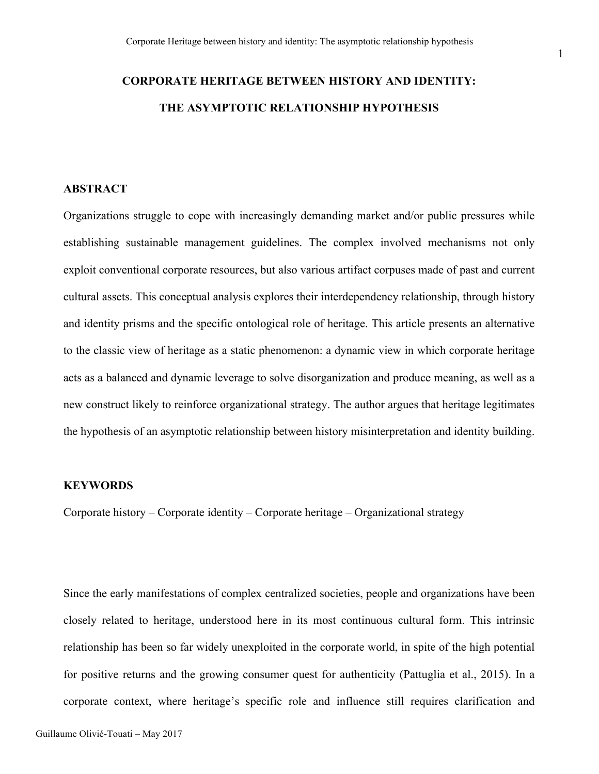# **CORPORATE HERITAGE BETWEEN HISTORY AND IDENTITY: THE ASYMPTOTIC RELATIONSHIP HYPOTHESIS**

# **ABSTRACT**

Organizations struggle to cope with increasingly demanding market and/or public pressures while establishing sustainable management guidelines. The complex involved mechanisms not only exploit conventional corporate resources, but also various artifact corpuses made of past and current cultural assets. This conceptual analysis explores their interdependency relationship, through history and identity prisms and the specific ontological role of heritage. This article presents an alternative to the classic view of heritage as a static phenomenon: a dynamic view in which corporate heritage acts as a balanced and dynamic leverage to solve disorganization and produce meaning, as well as a new construct likely to reinforce organizational strategy. The author argues that heritage legitimates the hypothesis of an asymptotic relationship between history misinterpretation and identity building.

#### **KEYWORDS**

Corporate history – Corporate identity – Corporate heritage – Organizational strategy

Since the early manifestations of complex centralized societies, people and organizations have been closely related to heritage, understood here in its most continuous cultural form. This intrinsic relationship has been so far widely unexploited in the corporate world, in spite of the high potential for positive returns and the growing consumer quest for authenticity (Pattuglia et al., 2015). In a corporate context, where heritage's specific role and influence still requires clarification and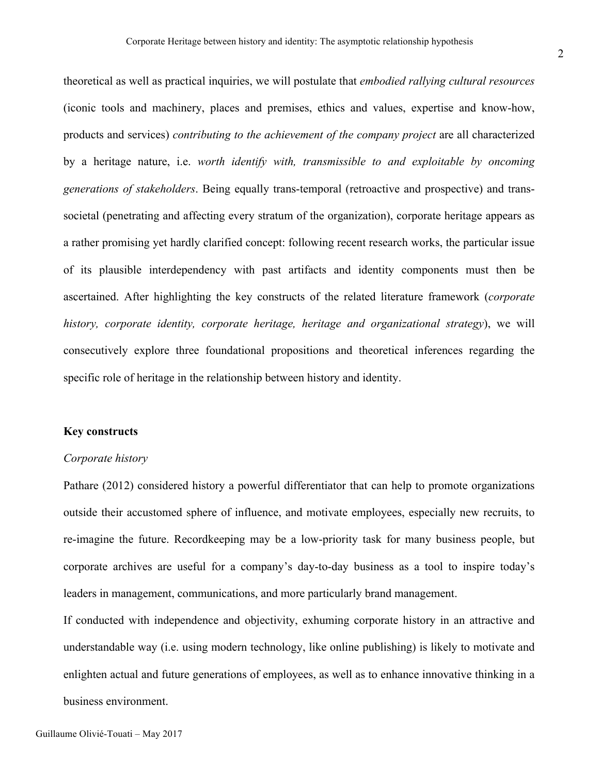theoretical as well as practical inquiries, we will postulate that *embodied rallying cultural resources* (iconic tools and machinery, places and premises, ethics and values, expertise and know-how, products and services) *contributing to the achievement of the company project* are all characterized by a heritage nature, i.e. *worth identify with, transmissible to and exploitable by oncoming generations of stakeholders*. Being equally trans-temporal (retroactive and prospective) and transsocietal (penetrating and affecting every stratum of the organization), corporate heritage appears as a rather promising yet hardly clarified concept: following recent research works, the particular issue of its plausible interdependency with past artifacts and identity components must then be ascertained. After highlighting the key constructs of the related literature framework (*corporate history, corporate identity, corporate heritage, heritage and organizational strategy*), we will consecutively explore three foundational propositions and theoretical inferences regarding the specific role of heritage in the relationship between history and identity.

# **Key constructs**

## *Corporate history*

Pathare (2012) considered history a powerful differentiator that can help to promote organizations outside their accustomed sphere of influence, and motivate employees, especially new recruits, to re-imagine the future. Recordkeeping may be a low-priority task for many business people, but corporate archives are useful for a company's day-to-day business as a tool to inspire today's leaders in management, communications, and more particularly brand management.

If conducted with independence and objectivity, exhuming corporate history in an attractive and understandable way (i.e. using modern technology, like online publishing) is likely to motivate and enlighten actual and future generations of employees, as well as to enhance innovative thinking in a business environment.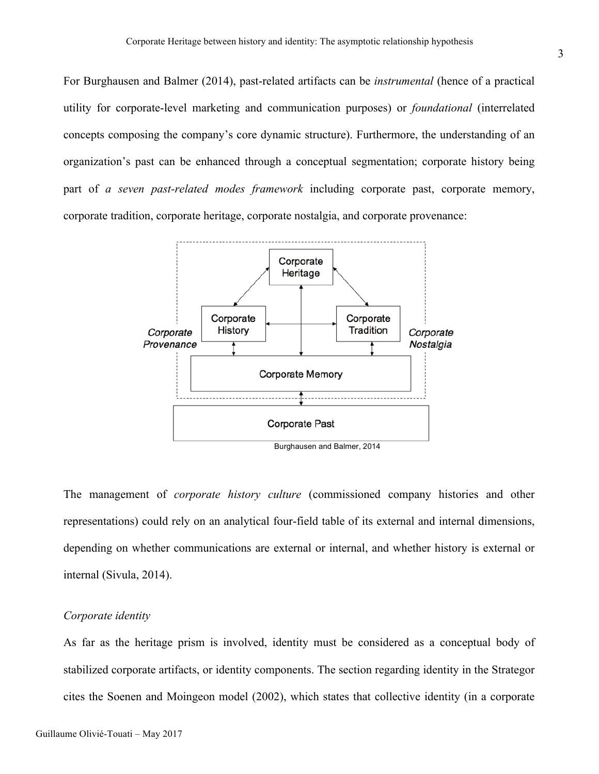For Burghausen and Balmer (2014), past-related artifacts can be *instrumental* (hence of a practical utility for corporate-level marketing and communication purposes) or *foundational* (interrelated concepts composing the company's core dynamic structure). Furthermore, the understanding of an organization's past can be enhanced through a conceptual segmentation; corporate history being part of *a seven past-related modes framework* including corporate past, corporate memory, corporate tradition, corporate heritage, corporate nostalgia, and corporate provenance:



The management of *corporate history culture* (commissioned company histories and other representations) could rely on an analytical four-field table of its external and internal dimensions, depending on whether communications are external or internal, and whether history is external or internal (Sivula, 2014).

## *Corporate identity*

As far as the heritage prism is involved, identity must be considered as a conceptual body of stabilized corporate artifacts, or identity components. The section regarding identity in the Strategor cites the Soenen and Moingeon model (2002), which states that collective identity (in a corporate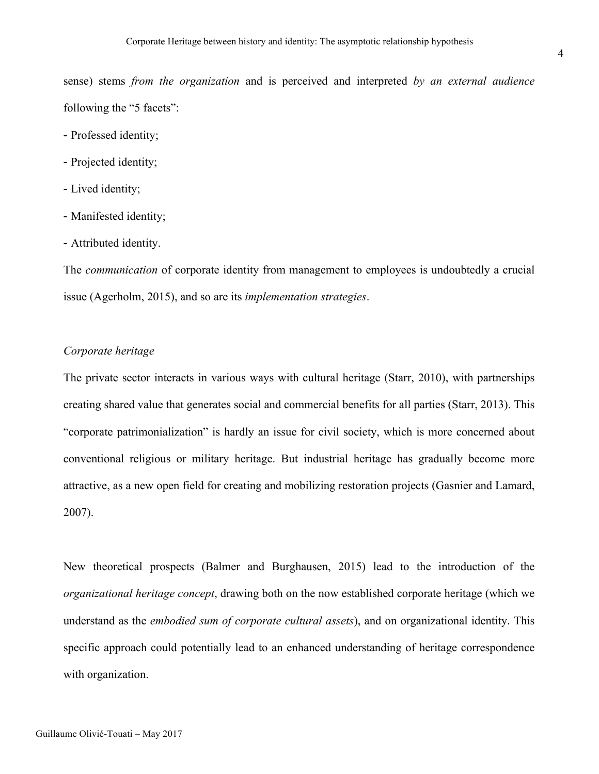sense) stems *from the organization* and is perceived and interpreted *by an external audience* following the "5 facets":

- Professed identity;
- Projected identity;
- Lived identity;
- Manifested identity;
- Attributed identity.

The *communication* of corporate identity from management to employees is undoubtedly a crucial issue (Agerholm, 2015), and so are its *implementation strategies*.

# *Corporate heritage*

The private sector interacts in various ways with cultural heritage (Starr, 2010), with partnerships creating shared value that generates social and commercial benefits for all parties (Starr, 2013). This "corporate patrimonialization" is hardly an issue for civil society, which is more concerned about conventional religious or military heritage. But industrial heritage has gradually become more attractive, as a new open field for creating and mobilizing restoration projects (Gasnier and Lamard, 2007).

New theoretical prospects (Balmer and Burghausen, 2015) lead to the introduction of the *organizational heritage concept*, drawing both on the now established corporate heritage (which we understand as the *embodied sum of corporate cultural assets*), and on organizational identity. This specific approach could potentially lead to an enhanced understanding of heritage correspondence with organization.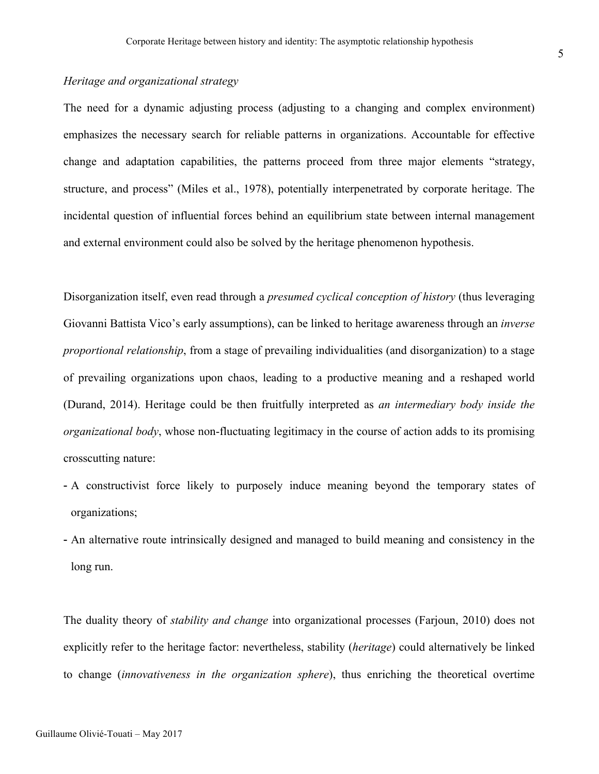# *Heritage and organizational strategy*

The need for a dynamic adjusting process (adjusting to a changing and complex environment) emphasizes the necessary search for reliable patterns in organizations. Accountable for effective change and adaptation capabilities, the patterns proceed from three major elements "strategy, structure, and process" (Miles et al., 1978), potentially interpenetrated by corporate heritage. The incidental question of influential forces behind an equilibrium state between internal management and external environment could also be solved by the heritage phenomenon hypothesis.

Disorganization itself, even read through a *presumed cyclical conception of history* (thus leveraging Giovanni Battista Vico's early assumptions), can be linked to heritage awareness through an *inverse proportional relationship*, from a stage of prevailing individualities (and disorganization) to a stage of prevailing organizations upon chaos, leading to a productive meaning and a reshaped world (Durand, 2014). Heritage could be then fruitfully interpreted as *an intermediary body inside the organizational body*, whose non-fluctuating legitimacy in the course of action adds to its promising crosscutting nature:

- A constructivist force likely to purposely induce meaning beyond the temporary states of organizations;
- An alternative route intrinsically designed and managed to build meaning and consistency in the long run.

The duality theory of *stability and change* into organizational processes (Farjoun, 2010) does not explicitly refer to the heritage factor: nevertheless, stability (*heritage*) could alternatively be linked to change (*innovativeness in the organization sphere*), thus enriching the theoretical overtime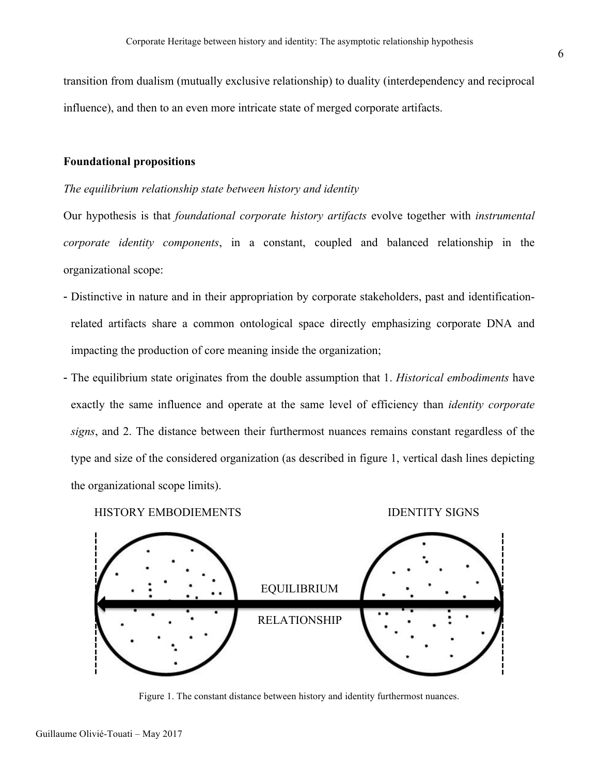transition from dualism (mutually exclusive relationship) to duality (interdependency and reciprocal influence), and then to an even more intricate state of merged corporate artifacts.

## **Foundational propositions**

#### *The equilibrium relationship state between history and identity*

Our hypothesis is that *foundational corporate history artifacts* evolve together with *instrumental corporate identity components*, in a constant, coupled and balanced relationship in the organizational scope:

- Distinctive in nature and in their appropriation by corporate stakeholders, past and identificationrelated artifacts share a common ontological space directly emphasizing corporate DNA and impacting the production of core meaning inside the organization;
- The equilibrium state originates from the double assumption that 1. *Historical embodiments* have exactly the same influence and operate at the same level of efficiency than *identity corporate signs*, and 2. The distance between their furthermost nuances remains constant regardless of the type and size of the considered organization (as described in figure 1, vertical dash lines depicting the organizational scope limits).

HISTORY EMBODIEMENTS IDENTITY SIGNS





Figure 1. The constant distance between history and identity furthermost nuances.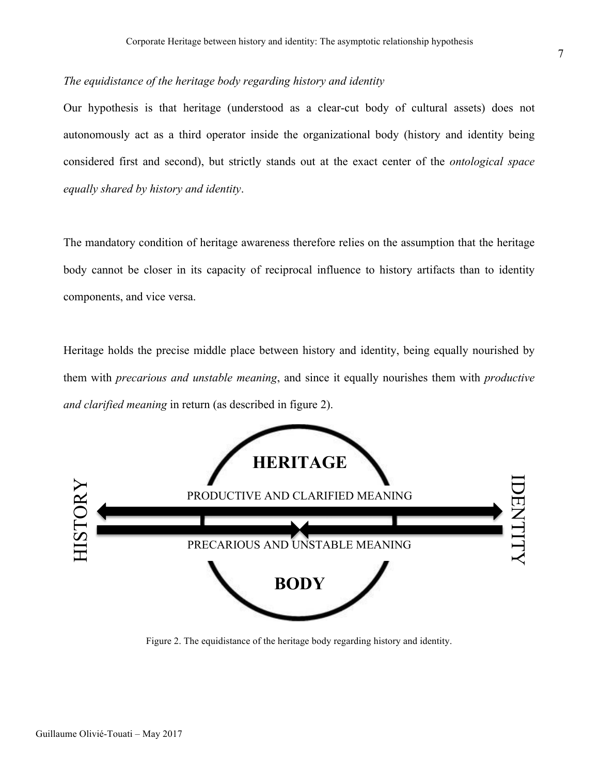# *The equidistance of the heritage body regarding history and identity*

Our hypothesis is that heritage (understood as a clear-cut body of cultural assets) does not autonomously act as a third operator inside the organizational body (history and identity being considered first and second), but strictly stands out at the exact center of the *ontological space equally shared by history and identity*.

The mandatory condition of heritage awareness therefore relies on the assumption that the heritage body cannot be closer in its capacity of reciprocal influence to history artifacts than to identity components, and vice versa.

Heritage holds the precise middle place between history and identity, being equally nourished by them with *precarious and unstable meaning*, and since it equally nourishes them with *productive and clarified meaning* in return (as described in figure 2).



Figure 2. The equidistance of the heritage body regarding history and identity.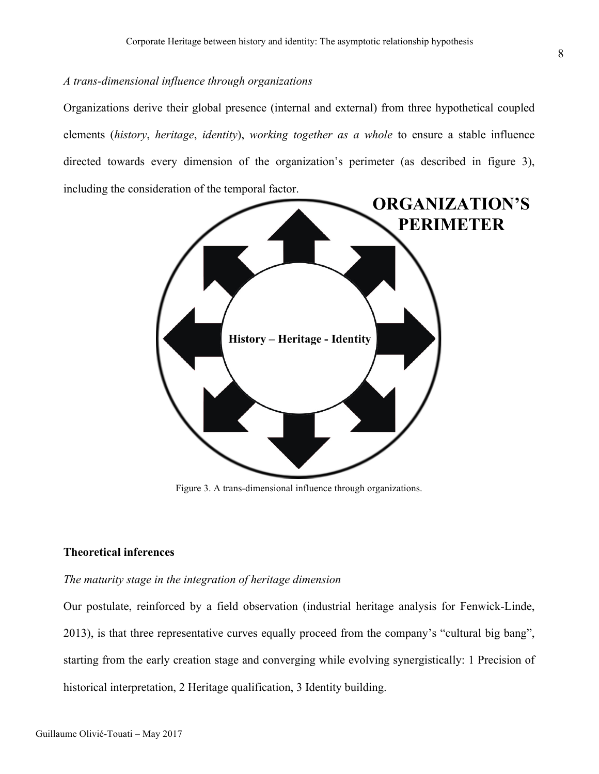# *A trans-dimensional influence through organizations*

Organizations derive their global presence (internal and external) from three hypothetical coupled elements (*history*, *heritage*, *identity*), *working together as a whole* to ensure a stable influence directed towards every dimension of the organization's perimeter (as described in figure 3), including the consideration of the temporal factor.



Figure 3. A trans-dimensional influence through organizations.

## **Theoretical inferences**

## *The maturity stage in the integration of heritage dimension*

Our postulate, reinforced by a field observation (industrial heritage analysis for Fenwick-Linde, 2013), is that three representative curves equally proceed from the company's "cultural big bang", starting from the early creation stage and converging while evolving synergistically: 1 Precision of historical interpretation, 2 Heritage qualification, 3 Identity building.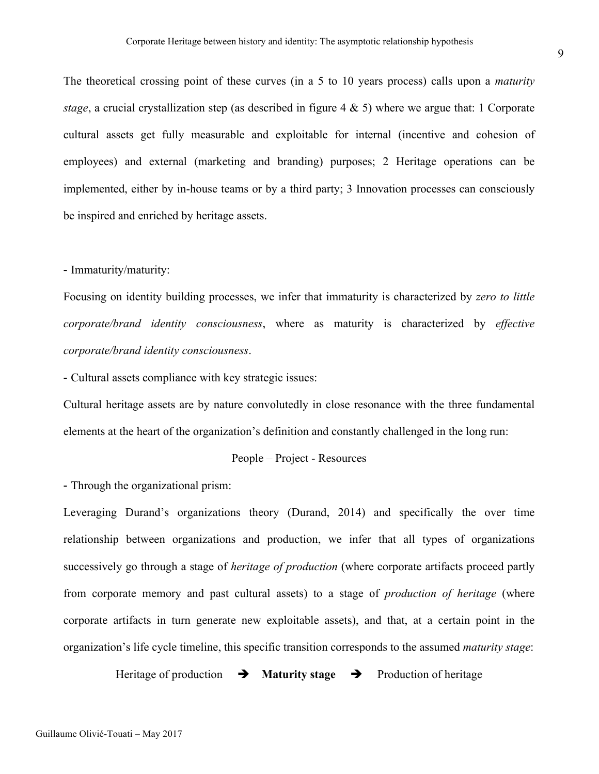The theoretical crossing point of these curves (in a 5 to 10 years process) calls upon a *maturity stage*, a crucial crystallization step (as described in figure 4 & 5) where we argue that: 1 Corporate cultural assets get fully measurable and exploitable for internal (incentive and cohesion of employees) and external (marketing and branding) purposes; 2 Heritage operations can be implemented, either by in-house teams or by a third party; 3 Innovation processes can consciously be inspired and enriched by heritage assets.

#### - Immaturity/maturity:

Focusing on identity building processes, we infer that immaturity is characterized by *zero to little corporate/brand identity consciousness*, where as maturity is characterized by *effective corporate/brand identity consciousness*.

- Cultural assets compliance with key strategic issues:

Cultural heritage assets are by nature convolutedly in close resonance with the three fundamental elements at the heart of the organization's definition and constantly challenged in the long run:

#### People – Project - Resources

- Through the organizational prism:

Leveraging Durand's organizations theory (Durand, 2014) and specifically the over time relationship between organizations and production, we infer that all types of organizations successively go through a stage of *heritage of production* (where corporate artifacts proceed partly from corporate memory and past cultural assets) to a stage of *production of heritage* (where corporate artifacts in turn generate new exploitable assets), and that, at a certain point in the organization's life cycle timeline, this specific transition corresponds to the assumed *maturity stage*:

Heritage of production  $\rightarrow$  **Maturity stage**  $\rightarrow$  Production of heritage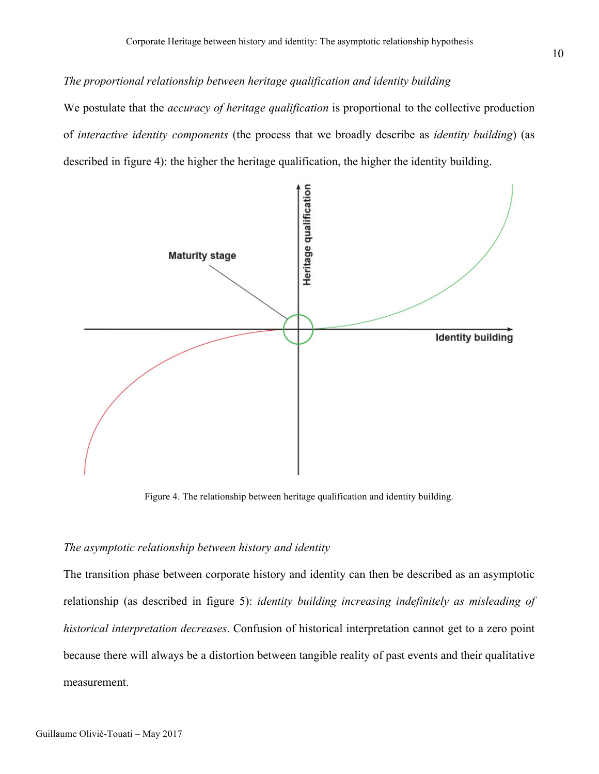# *The proportional relationship between heritage qualification and identity building*

We postulate that the *accuracy of heritage qualification* is proportional to the collective production of *interactive identity components* (the process that we broadly describe as *identity building*) (as described in figure 4): the higher the heritage qualification, the higher the identity building.



Figure 4. The relationship between heritage qualification and identity building.

#### *The asymptotic relationship between history and identity*

The transition phase between corporate history and identity can then be described as an asymptotic relationship (as described in figure 5): *identity building increasing indefinitely as misleading of historical interpretation decreases*. Confusion of historical interpretation cannot get to a zero point because there will always be a distortion between tangible reality of past events and their qualitative measurement.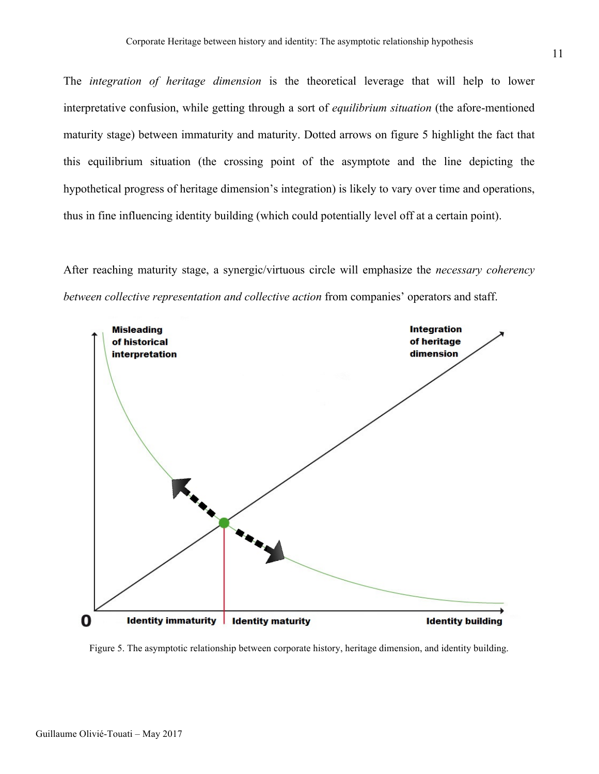The *integration of heritage dimension* is the theoretical leverage that will help to lower interpretative confusion, while getting through a sort of *equilibrium situation* (the afore-mentioned maturity stage) between immaturity and maturity. Dotted arrows on figure 5 highlight the fact that this equilibrium situation (the crossing point of the asymptote and the line depicting the hypothetical progress of heritage dimension's integration) is likely to vary over time and operations, thus in fine influencing identity building (which could potentially level off at a certain point).

After reaching maturity stage, a synergic/virtuous circle will emphasize the *necessary coherency between collective representation and collective action* from companies' operators and staff.



Figure 5. The asymptotic relationship between corporate history, heritage dimension, and identity building.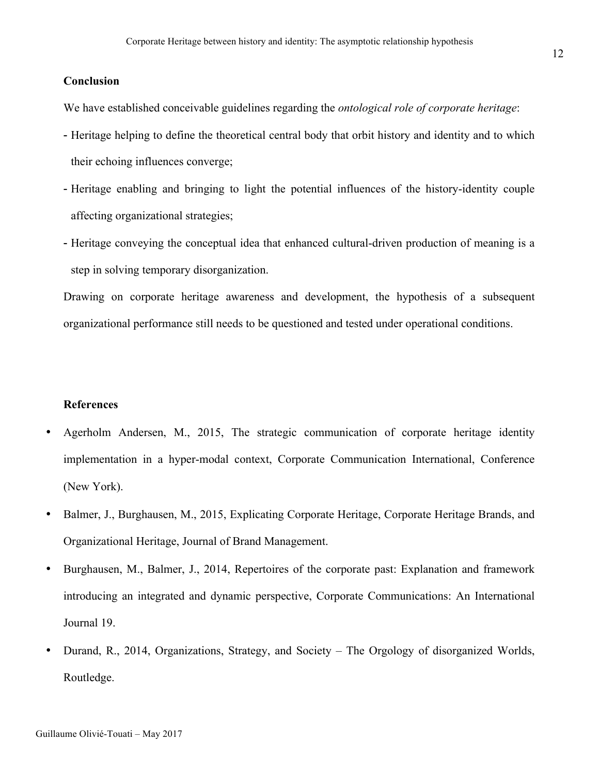# **Conclusion**

We have established conceivable guidelines regarding the *ontological role of corporate heritage*:

- Heritage helping to define the theoretical central body that orbit history and identity and to which their echoing influences converge;
- Heritage enabling and bringing to light the potential influences of the history-identity couple affecting organizational strategies;
- Heritage conveying the conceptual idea that enhanced cultural-driven production of meaning is a step in solving temporary disorganization.

Drawing on corporate heritage awareness and development, the hypothesis of a subsequent organizational performance still needs to be questioned and tested under operational conditions.

### **References**

- Agerholm Andersen, M., 2015, The strategic communication of corporate heritage identity implementation in a hyper-modal context, Corporate Communication International, Conference (New York).
- Balmer, J., Burghausen, M., 2015, Explicating Corporate Heritage, Corporate Heritage Brands, and Organizational Heritage, Journal of Brand Management.
- Burghausen, M., Balmer, J., 2014, Repertoires of the corporate past: Explanation and framework introducing an integrated and dynamic perspective, Corporate Communications: An International Journal 19.
- Durand, R., 2014, Organizations, Strategy, and Society The Orgology of disorganized Worlds, Routledge.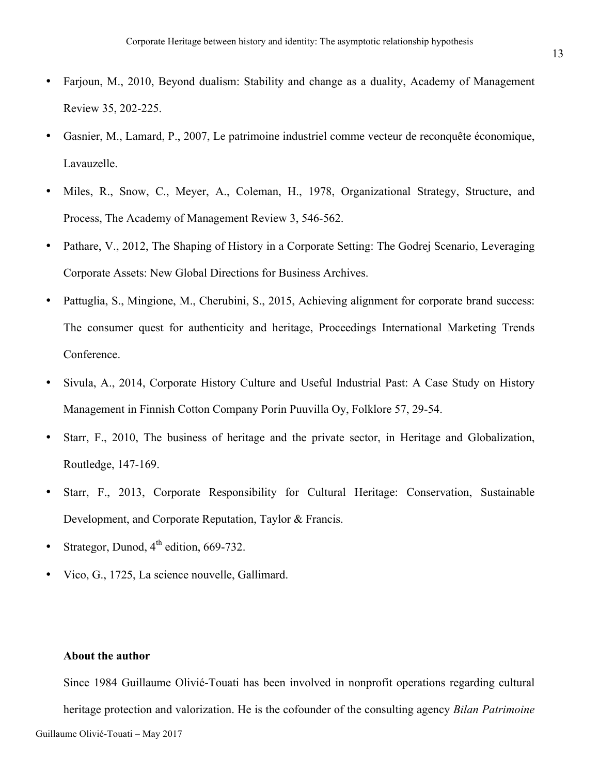- Farjoun, M., 2010, Beyond dualism: Stability and change as a duality, Academy of Management Review 35, 202-225.
- Gasnier, M., Lamard, P., 2007, Le patrimoine industriel comme vecteur de reconquête économique, Lavauzelle.
- Miles, R., Snow, C., Meyer, A., Coleman, H., 1978, Organizational Strategy, Structure, and Process, The Academy of Management Review 3, 546-562.
- Pathare, V., 2012, The Shaping of History in a Corporate Setting: The Godrej Scenario, Leveraging Corporate Assets: New Global Directions for Business Archives.
- Pattuglia, S., Mingione, M., Cherubini, S., 2015, Achieving alignment for corporate brand success: The consumer quest for authenticity and heritage, Proceedings International Marketing Trends Conference.
- Sivula, A., 2014, Corporate History Culture and Useful Industrial Past: A Case Study on History Management in Finnish Cotton Company Porin Puuvilla Oy, Folklore 57, 29-54.
- Starr, F., 2010, The business of heritage and the private sector, in Heritage and Globalization, Routledge, 147-169.
- Starr, F., 2013, Corporate Responsibility for Cultural Heritage: Conservation, Sustainable Development, and Corporate Reputation, Taylor & Francis.
- Strategor, Dunod,  $4^{th}$  edition, 669-732.
- Vico, G., 1725, La science nouvelle, Gallimard.

# **About the author**

Since 1984 Guillaume Olivié-Touati has been involved in nonprofit operations regarding cultural heritage protection and valorization. He is the cofounder of the consulting agency *Bilan Patrimoine*